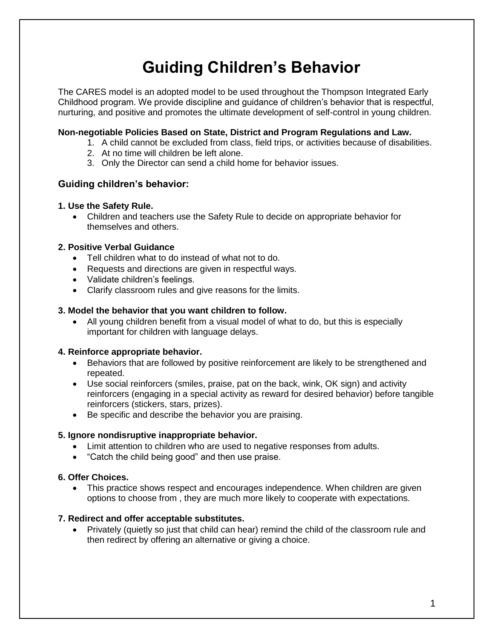# **Guiding Children's Behavior**

The CARES model is an adopted model to be used throughout the Thompson Integrated Early Childhood program. We provide discipline and guidance of children's behavior that is respectful, nurturing, and positive and promotes the ultimate development of self-control in young children.

# **Non-negotiable Policies Based on State, District and Program Regulations and Law.**

- 1. A child cannot be excluded from class, field trips, or activities because of disabilities.
- 2. At no time will children be left alone.
- 3. Only the Director can send a child home for behavior issues.

# **Guiding children's behavior:**

#### **1. Use the Safety Rule.**

 Children and teachers use the Safety Rule to decide on appropriate behavior for themselves and others.

#### **2. Positive Verbal Guidance**

- Tell children what to do instead of what not to do.
- Requests and directions are given in respectful ways.
- Validate children's feelings.
- Clarify classroom rules and give reasons for the limits.

#### **3. Model the behavior that you want children to follow.**

 All young children benefit from a visual model of what to do, but this is especially important for children with language delays.

#### **4. Reinforce appropriate behavior.**

- Behaviors that are followed by positive reinforcement are likely to be strengthened and repeated.
- Use social reinforcers (smiles, praise, pat on the back, wink, OK sign) and activity reinforcers (engaging in a special activity as reward for desired behavior) before tangible reinforcers (stickers, stars, prizes).
- Be specific and describe the behavior you are praising.

#### **5. Ignore nondisruptive inappropriate behavior.**

- Limit attention to children who are used to negative responses from adults.
- "Catch the child being good" and then use praise.

#### **6. Offer Choices.**

 This practice shows respect and encourages independence. When children are given options to choose from , they are much more likely to cooperate with expectations.

#### **7. Redirect and offer acceptable substitutes.**

 Privately (quietly so just that child can hear) remind the child of the classroom rule and then redirect by offering an alternative or giving a choice.